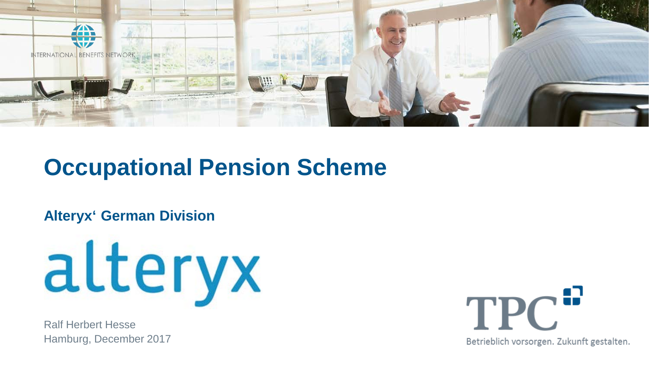

## **Occupational Pension Scheme**

#### **Alteryx' German Division**



Ralf Herbert Hesse Hamburg, December 2017



Betrieblich vorsorgen. Zukunft gestalten.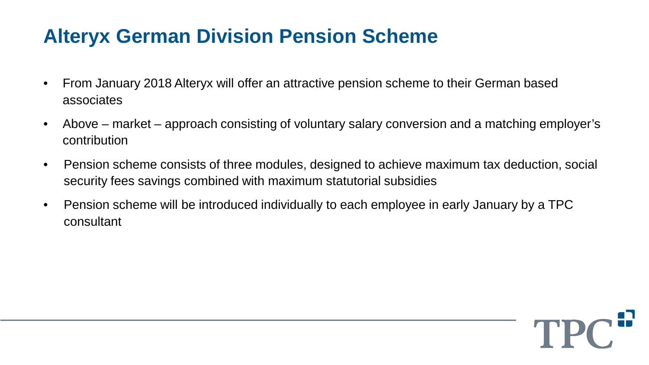### **Alteryx German Division Pension Scheme**

- From January 2018 Alteryx will offer an attractive pension scheme to their German based associates
- Above market approach consisting of voluntary salary conversion and a matching employer's contribution
- Pension scheme consists of three modules, designed to achieve maximum tax deduction, social security fees savings combined with maximum statutorial subsidies
- Pension scheme will be introduced individually to each employee in early January by a TPC consultant

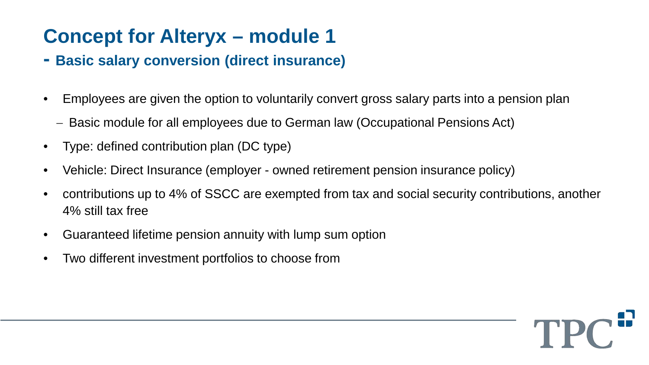### **Concept for Alteryx – module 1**

- **- Basic salary conversion (direct insurance)**
- Employees are given the option to voluntarily convert gross salary parts into a pension plan
	- − Basic module for all employees due to German law (Occupational Pensions Act)
- Type: defined contribution plan (DC type)
- Vehicle: Direct Insurance (employer owned retirement pension insurance policy)
- contributions up to 4% of SSCC are exempted from tax and social security contributions, another 4% still tax free
- Guaranteed lifetime pension annuity with lump sum option
- Two different investment portfolios to choose from

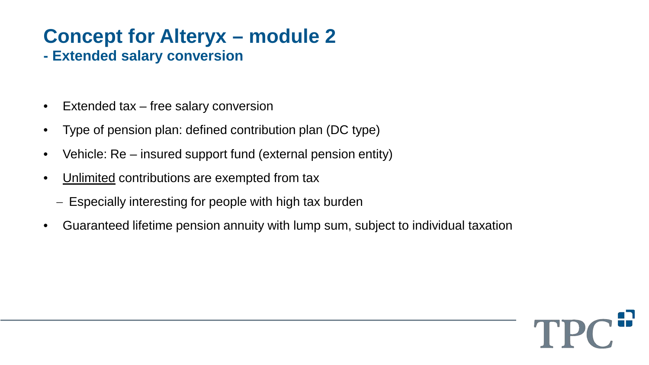## **Concept for Alteryx – module 2**

- **- Extended salary conversion**
- Extended tax free salary conversion
- Type of pension plan: defined contribution plan (DC type)
- Vehicle: Re insured support fund (external pension entity)
- Unlimited contributions are exempted from tax
	- − Especially interesting for people with high tax burden
- Guaranteed lifetime pension annuity with lump sum, subject to individual taxation

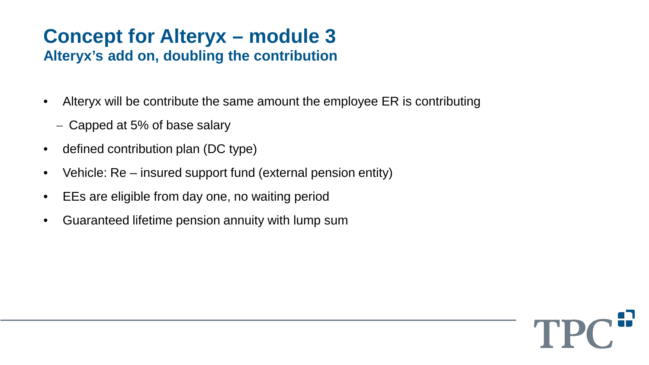# **Concept for Alteryx – module 3**

#### **Alteryx's add on, doubling the contribution**

- Alteryx will be contribute the same amount the employee ER is contributing
	- − Capped at 5% of base salary
- defined contribution plan (DC type)
- Vehicle: Re insured support fund (external pension entity)
- EEs are eligible from day one, no waiting period
- Guaranteed lifetime pension annuity with lump sum

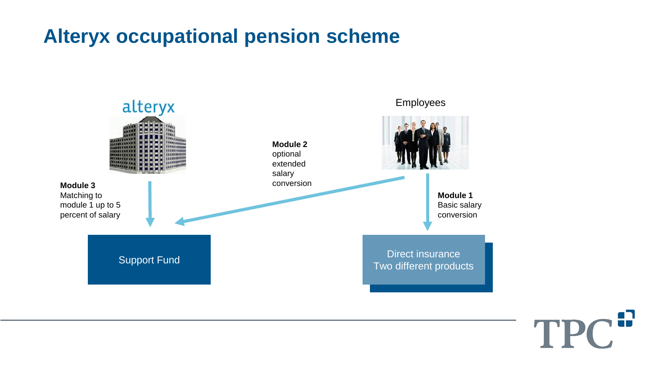#### **Alteryx occupational pension scheme**



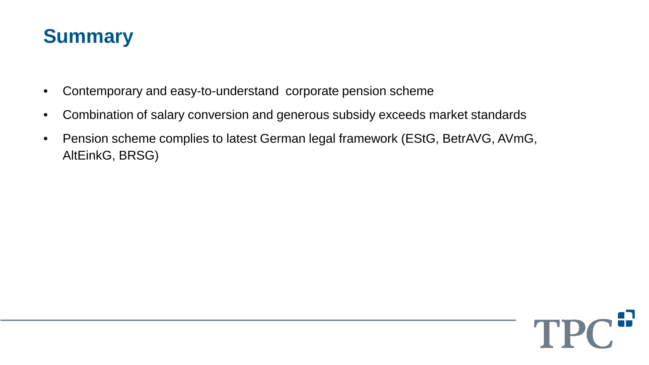

- Contemporary and easy-to-understand corporate pension scheme
- Combination of salary conversion and generous subsidy exceeds market standards
- Pension scheme complies to latest German legal framework (EStG, BetrAVG, AVmG, AltEinkG, BRSG)